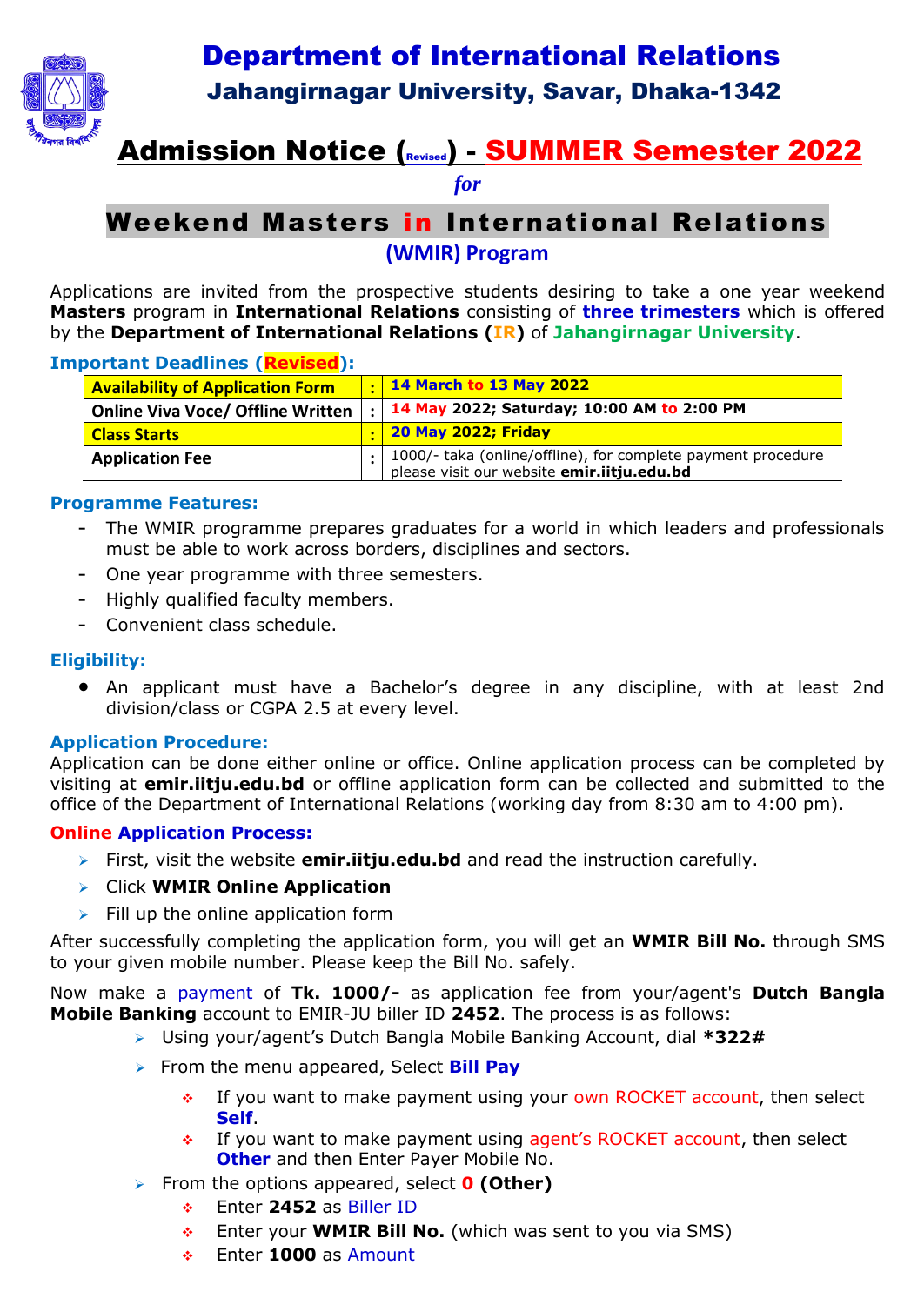

## Department of International Relations Jahangirnagar University, Savar, Dhaka-1342

# Admission Notice (Revised) - SUMMER Semester 2022

*for*

## Weekend Masters in International Relations **(WMIR) Program**

Applications are invited from the prospective students desiring to take a one year weekend **Masters** program in **International Relations** consisting of **three trimesters** which is offered by the **Department of International Relations (IR)** of **Jahangirnagar University**.

#### **Important Deadlines (Revised):**

| <b>Availability of Application Form</b>  | 14 March to 13 May 2022                                                                                                        |
|------------------------------------------|--------------------------------------------------------------------------------------------------------------------------------|
| <b>Online Viva Voce/ Offline Written</b> | $\frac{1}{2}$   14 May 2022; Saturday; 10:00 AM to 2:00 PM                                                                     |
| <b>Class Starts</b>                      | <b>20 May 2022; Friday</b>                                                                                                     |
| <b>Application Fee</b>                   | <sup>1</sup> 1000/- taka (online/offline), for complete payment procedure<br>please visit our website <b>emir.iitju.edu.bd</b> |

#### **Programme Features:**

- The WMIR programme prepares graduates for a world in which leaders and professionals must be able to work across borders, disciplines and sectors.
- One year programme with three semesters.
- Highly qualified faculty members.
- Convenient class schedule.

#### **Eligibility:**

 An applicant must have a Bachelor's degree in any discipline, with at least 2nd division/class or CGPA 2.5 at every level.

#### **Application Procedure:**

Application can be done either online or office. Online application process can be completed by visiting at **emir.iitju.edu.bd** or offline application form can be collected and submitted to the office of the Department of International Relations (working day from 8:30 am to 4:00 pm).

#### **Online Application Process:**

- First, visit the website **emir.iitju.edu.bd** and read the instruction carefully.
- Click **WMIR Online Application**
- $\triangleright$  Fill up the online application form

After successfully completing the application form, you will get an **WMIR Bill No.** through SMS to your given mobile number. Please keep the Bill No. safely.

Now make a payment of **Tk. 1000/-** as application fee from your/agent's **Dutch Bangla Mobile Banking** account to EMIR-JU biller ID **2452**. The process is as follows:

- Using your/agent's Dutch Bangla Mobile Banking Account, dial **\*322#**
- From the menu appeared, Select **Bill Pay**
	- $\div$  If you want to make payment using your own ROCKET account, then select **Self**.
	- If you want to make payment using agent's ROCKET account, then select **Other** and then Enter Payer Mobile No.
- From the options appeared, select **0 (Other)**
	- Enter **2452** as Biller ID
	- Enter your **WMIR Bill No.** (which was sent to you via SMS)
	- Enter **1000** as Amount